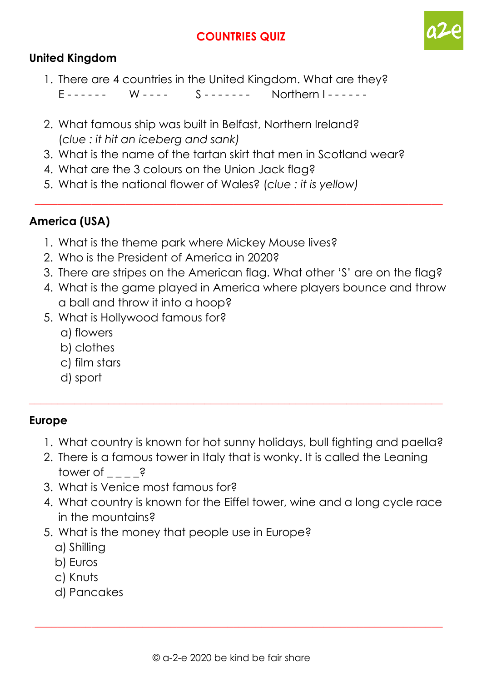# **COUNTRIES QUIZ**



### **United Kingdom**

- 1. There are 4 countries in the United Kingdom. What are they?  $F$ ------ W----  $S$ ------- Northern I-----
- 2. What famous ship was built in Belfast, Northern Ireland? (*clue : it hit an iceberg and sank)*
- 3. What is the name of the tartan skirt that men in Scotland wear?
- 4. What are the 3 colours on the Union Jack flag?
- 5. What is the national flower of Wales? (*clue : it is yellow)*

## **America (USA)**

- 1. What is the theme park where Mickey Mouse lives?
- 2. Who is the President of America in 2020?
- 3. There are stripes on the American flag. What other 'S' are on the flag?

 $\_$  , and the set of the set of the set of the set of the set of the set of the set of the set of the set of the set of the set of the set of the set of the set of the set of the set of the set of the set of the set of th

- 4. What is the game played in America where players bounce and throw a ball and throw it into a hoop?
- 5. What is Hollywood famous for?
	- a) flowers
	- b) clothes
	- c) film stars
	- d) sport

#### **Europe**

- 1. What country is known for hot sunny holidays, bull fighting and paella?
- 2. There is a famous tower in Italy that is wonky. It is called the Leaning tower of  $\qquad$  ?

\_\_\_\_\_\_\_\_\_\_\_\_\_\_\_\_\_\_\_\_\_\_\_\_\_\_\_\_\_\_\_\_\_\_\_\_\_\_\_\_\_\_\_\_\_\_\_\_\_\_\_\_\_\_\_\_\_\_\_\_\_\_\_\_\_\_\_\_\_\_\_\_\_

- 3. What is Venice most famous for?
- 4. What country is known for the Eiffel tower, wine and a long cycle race in the mountains?
- 5. What is the money that people use in Europe?
	- a) Shilling
	- b) Euros
	- c) Knuts
	- d) Pancakes

 $\_$  , and the set of the set of the set of the set of the set of the set of the set of the set of the set of the set of the set of the set of the set of the set of the set of the set of the set of the set of the set of th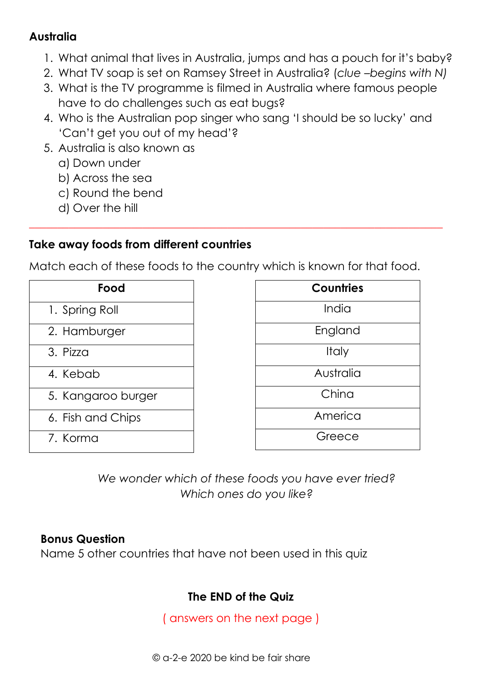## **Australia**

- 1. What animal that lives in Australia, jumps and has a pouch for it's baby?
- 2. What TV soap is set on Ramsey Street in Australia? (*clue –begins with N)*
- 3. What is the TV programme is filmed in Australia where famous people have to do challenges such as eat bugs?
- 4. Who is the Australian pop singer who sang 'I should be so lucky' and 'Can't get you out of my head'?
- 5. Australia is also known as
	- a) Down under
	- b) Across the sea
	- c) Round the bend
	- d) Over the hill

# **Take away foods from different countries**

Match each of these foods to the country which is known for that food.

\_\_\_\_\_\_\_\_\_\_\_\_\_\_\_\_\_\_\_\_\_\_\_\_\_\_\_\_\_\_\_\_\_\_\_\_\_\_\_\_\_\_\_\_\_\_\_\_\_\_\_\_\_\_\_\_\_\_\_\_\_\_\_\_\_\_\_\_\_\_\_\_\_

| Food               |
|--------------------|
| 1. Spring Roll     |
| 2. Hamburger       |
| 3. Pizza           |
| 4. Kebab           |
| 5. Kangaroo burger |
| 6. Fish and Chips  |
| 7. Korma           |

| <b>Countries</b> |
|------------------|
| India            |
| England          |
| <b>Italy</b>     |
| Australia        |
| China            |
| America          |
| Greece           |

*We wonder which of these foods you have ever tried? Which ones do you like?*

# **Bonus Question**

Name 5 other countries that have not been used in this quiz

# **The END of the Quiz**

( answers on the next page )